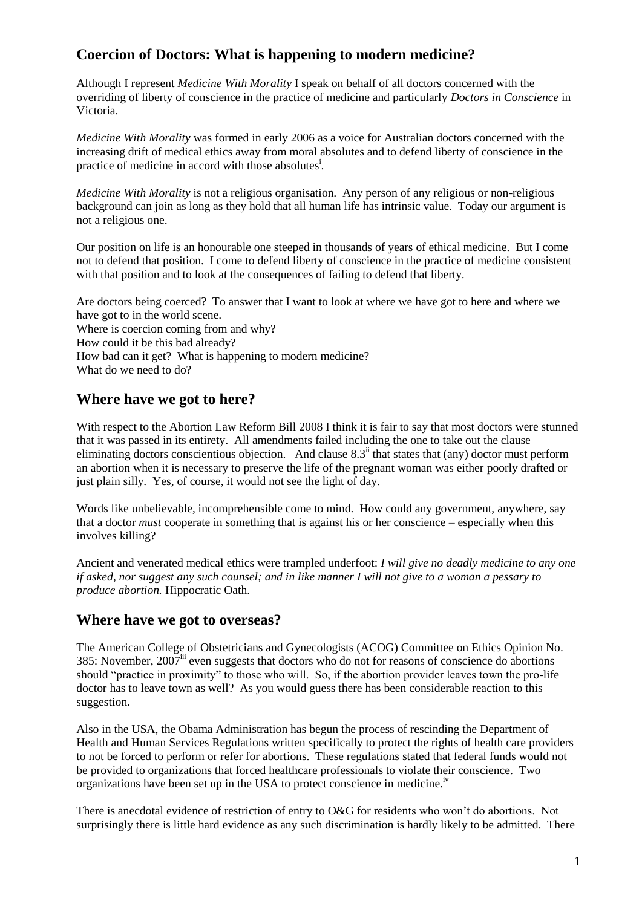# **Coercion of Doctors: What is happening to modern medicine?**

Although I represent *Medicine With Morality* I speak on behalf of all doctors concerned with the overriding of liberty of conscience in the practice of medicine and particularly *Doctors in Conscience* in Victoria.

*Medicine With Morality* was formed in early 2006 as a voice for Australian doctors concerned with the increasing drift of medical ethics away from moral absolutes and to defend liberty of conscience in the practice of medicine in accord with those absolutes<sup>i</sup>.

*Medicine With Morality* is not a religious organisation. Any person of any religious or non-religious background can join as long as they hold that all human life has intrinsic value. Today our argument is not a religious one.

Our position on life is an honourable one steeped in thousands of years of ethical medicine. But I come not to defend that position. I come to defend liberty of conscience in the practice of medicine consistent with that position and to look at the consequences of failing to defend that liberty.

Are doctors being coerced? To answer that I want to look at where we have got to here and where we have got to in the world scene. Where is coercion coming from and why? How could it be this bad already? How bad can it get? What is happening to modern medicine? What do we need to do?

# **Where have we got to here?**

With respect to the Abortion Law Reform Bill 2008 I think it is fair to say that most doctors were stunned that it was passed in its entirety. All amendments failed including the one to take out the clause eliminating doctors conscientious objection. And clause  $8.3^{\text{ii}}$  that states that (any) doctor must perform an abortion when it is necessary to preserve the life of the pregnant woman was either poorly drafted or just plain silly. Yes, of course, it would not see the light of day.

Words like unbelievable, incomprehensible come to mind. How could any government, anywhere, say that a doctor *must* cooperate in something that is against his or her conscience – especially when this involves killing?

Ancient and venerated medical ethics were trampled underfoot: *I will give no deadly medicine to any one if asked, nor suggest any such counsel; and in like manner I will not give to a woman a pessary to produce abortion.* Hippocratic Oath.

## **Where have we got to overseas?**

The American College of Obstetricians and Gynecologists (ACOG) Committee on Ethics Opinion No. 385: November,  $2007^{\text{iii}}$  even suggests that doctors who do not for reasons of conscience do abortions should "practice in proximity" to those who will. So, if the abortion provider leaves town the pro-life doctor has to leave town as well? As you would guess there has been considerable reaction to this suggestion.

Also in the USA, the Obama Administration has begun the process of rescinding the Department of Health and Human Services Regulations written specifically to protect the rights of health care providers to not be forced to perform or refer for abortions. These regulations stated that federal funds would not be provided to organizations that forced healthcare professionals to violate their conscience. Two organizations have been set up in the USA to protect conscience in medicine.iv

There is anecdotal evidence of restriction of entry to O&G for residents who won't do abortions. Not surprisingly there is little hard evidence as any such discrimination is hardly likely to be admitted. There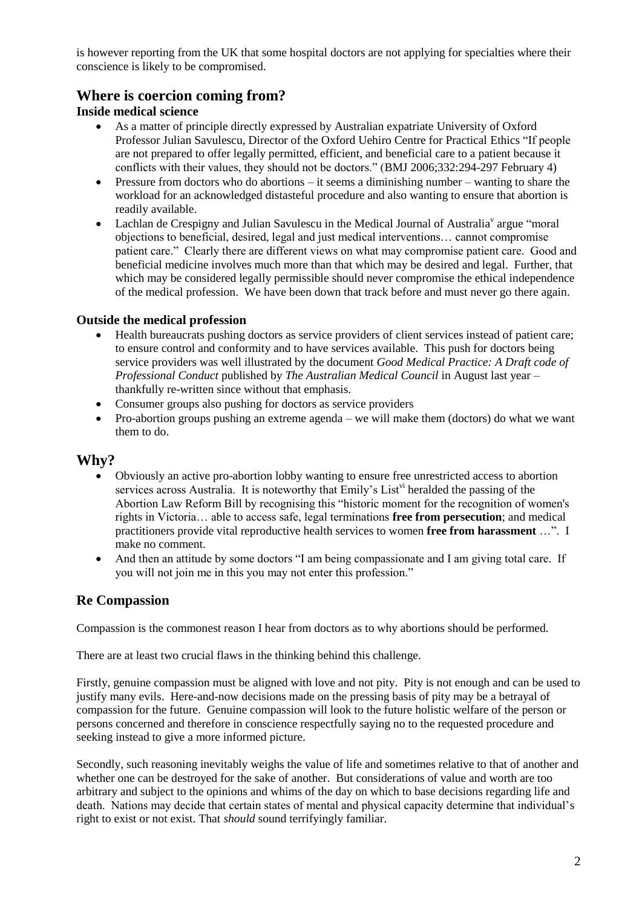is however reporting from the UK that some hospital doctors are not applying for specialties where their conscience is likely to be compromised.

# **Where is coercion coming from?**

### **Inside medical science**

- As a matter of principle directly expressed by Australian expatriate University of Oxford Professor Julian Savulescu, Director of the Oxford Uehiro Centre for Practical Ethics "If people are not prepared to offer legally permitted, efficient, and beneficial care to a patient because it conflicts with their values, they should not be doctors." (BMJ 2006;332:294-297 February 4)
- Pressure from doctors who do abortions it seems a diminishing number wanting to share the workload for an acknowledged distasteful procedure and also wanting to ensure that abortion is readily available.
- Lachlan de Crespigny and Julian Savulescu in the Medical Journal of Australia<sup>v</sup> argue "moral objections to beneficial, desired, legal and just medical interventions… cannot compromise patient care.‖ Clearly there are different views on what may compromise patient care. Good and beneficial medicine involves much more than that which may be desired and legal. Further, that which may be considered legally permissible should never compromise the ethical independence of the medical profession. We have been down that track before and must never go there again.

### **Outside the medical profession**

- Health bureaucrats pushing doctors as service providers of client services instead of patient care; to ensure control and conformity and to have services available. This push for doctors being service providers was well illustrated by the document *Good Medical Practice: A Draft code of Professional Conduct* published by *The Australian Medical Council* in August last year – thankfully re-written since without that emphasis.
- Consumer groups also pushing for doctors as service providers
- Pro-abortion groups pushing an extreme agenda we will make them (doctors) do what we want them to do.

## **Why?**

- Obviously an active pro-abortion lobby wanting to ensure free unrestricted access to abortion services across Australia. It is noteworthy that Emily's List<sup>vi</sup> heralded the passing of the Abortion Law Reform Bill by recognising this "historic moment for the recognition of women's rights in Victoria… able to access safe, legal terminations **free from persecution**; and medical practitioners provide vital reproductive health services to women **free from harassment** …‖. I make no comment.
- And then an attitude by some doctors "I am being compassionate and I am giving total care. If you will not join me in this you may not enter this profession."

## **Re Compassion**

Compassion is the commonest reason I hear from doctors as to why abortions should be performed.

There are at least two crucial flaws in the thinking behind this challenge.

Firstly, genuine compassion must be aligned with love and not pity. Pity is not enough and can be used to justify many evils. Here-and-now decisions made on the pressing basis of pity may be a betrayal of compassion for the future. Genuine compassion will look to the future holistic welfare of the person or persons concerned and therefore in conscience respectfully saying no to the requested procedure and seeking instead to give a more informed picture.

Secondly, such reasoning inevitably weighs the value of life and sometimes relative to that of another and whether one can be destroyed for the sake of another. But considerations of value and worth are too arbitrary and subject to the opinions and whims of the day on which to base decisions regarding life and death. Nations may decide that certain states of mental and physical capacity determine that individual's right to exist or not exist. That *should* sound terrifyingly familiar.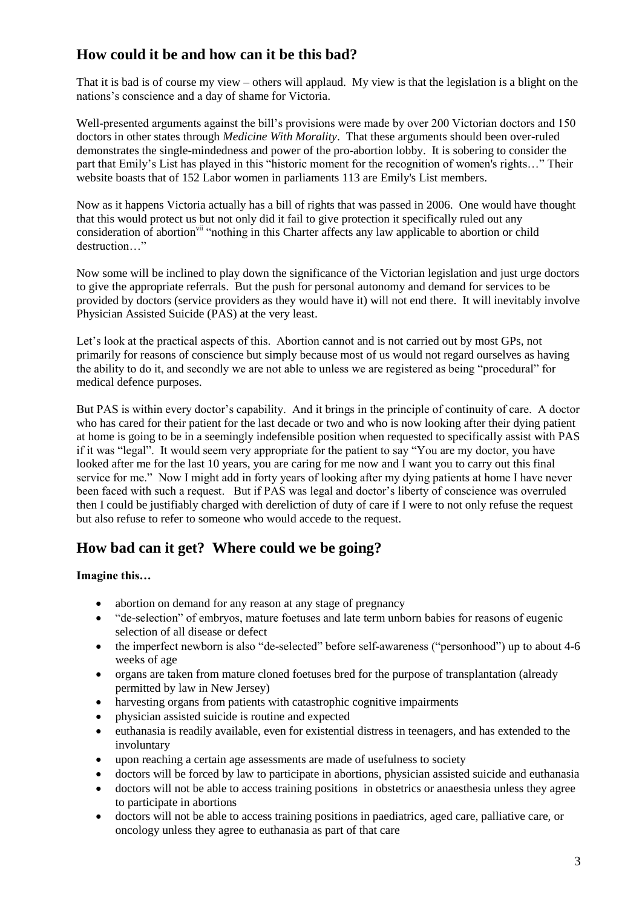# **How could it be and how can it be this bad?**

That it is bad is of course my view – others will applaud. My view is that the legislation is a blight on the nations's conscience and a day of shame for Victoria.

Well-presented arguments against the bill's provisions were made by over 200 Victorian doctors and 150 doctors in other states through *Medicine With Morality*. That these arguments should been over-ruled demonstrates the single-mindedness and power of the pro-abortion lobby. It is sobering to consider the part that Emily's List has played in this "historic moment for the recognition of women's rights..." Their website boasts that of 152 Labor women in parliaments 113 are Emily's List members.

Now as it happens Victoria actually has a bill of rights that was passed in 2006. One would have thought that this would protect us but not only did it fail to give protection it specifically ruled out any consideration of abortion<sup>vii</sup> "nothing in this Charter affects any law applicable to abortion or child destruction "

Now some will be inclined to play down the significance of the Victorian legislation and just urge doctors to give the appropriate referrals. But the push for personal autonomy and demand for services to be provided by doctors (service providers as they would have it) will not end there. It will inevitably involve Physician Assisted Suicide (PAS) at the very least.

Let's look at the practical aspects of this. Abortion cannot and is not carried out by most GPs, not primarily for reasons of conscience but simply because most of us would not regard ourselves as having the ability to do it, and secondly we are not able to unless we are registered as being "procedural" for medical defence purposes.

But PAS is within every doctor's capability. And it brings in the principle of continuity of care. A doctor who has cared for their patient for the last decade or two and who is now looking after their dying patient at home is going to be in a seemingly indefensible position when requested to specifically assist with PAS if it was "legal". It would seem very appropriate for the patient to say "You are my doctor, you have looked after me for the last 10 years, you are caring for me now and I want you to carry out this final service for me." Now I might add in forty years of looking after my dying patients at home I have never been faced with such a request. But if PAS was legal and doctor's liberty of conscience was overruled then I could be justifiably charged with dereliction of duty of care if I were to not only refuse the request but also refuse to refer to someone who would accede to the request.

# **How bad can it get? Where could we be going?**

## **Imagine this…**

- abortion on demand for any reason at any stage of pregnancy
- "de-selection" of embryos, mature foetuses and late term unborn babies for reasons of eugenic selection of all disease or defect
- the imperfect newborn is also "de-selected" before self-awareness ("personhood") up to about 4-6 weeks of age
- organs are taken from mature cloned foetuses bred for the purpose of transplantation (already permitted by law in New Jersey)
- harvesting organs from patients with catastrophic cognitive impairments
- physician assisted suicide is routine and expected
- euthanasia is readily available, even for existential distress in teenagers, and has extended to the involuntary
- upon reaching a certain age assessments are made of usefulness to society
- doctors will be forced by law to participate in abortions, physician assisted suicide and euthanasia
- doctors will not be able to access training positions in obstetrics or anaesthesia unless they agree to participate in abortions
- doctors will not be able to access training positions in paediatrics, aged care, palliative care, or oncology unless they agree to euthanasia as part of that care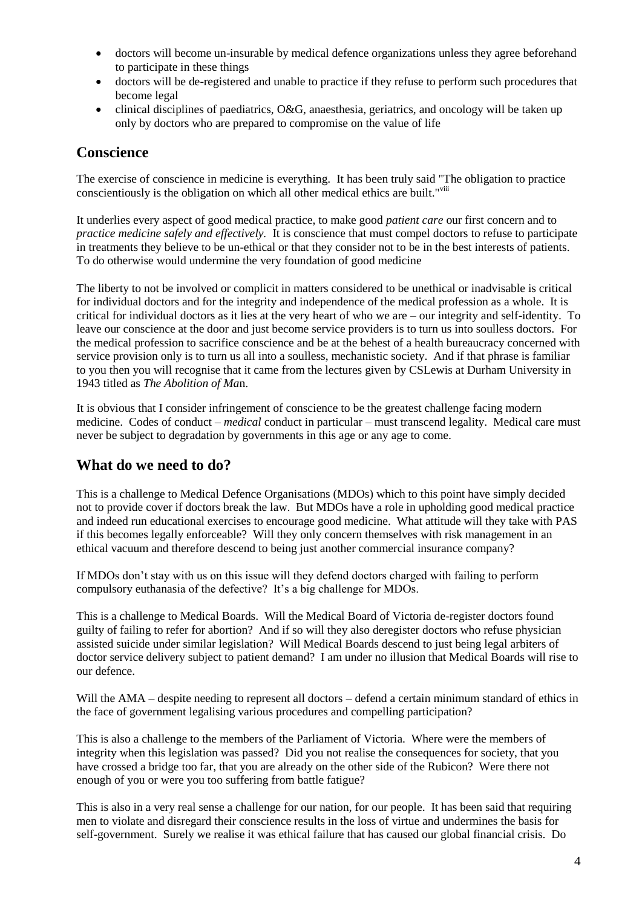- doctors will become un-insurable by medical defence organizations unless they agree beforehand to participate in these things
- doctors will be de-registered and unable to practice if they refuse to perform such procedures that become legal
- clinical disciplines of paediatrics, O&G, anaesthesia, geriatrics, and oncology will be taken up only by doctors who are prepared to compromise on the value of life

## **Conscience**

The exercise of conscience in medicine is everything. It has been truly said "The obligation to practice conscientiously is the obligation on which all other medical ethics are built."viii

It underlies every aspect of good medical practice, to make good *patient care* our first concern and to *practice medicine safely and effectively.* It is conscience that must compel doctors to refuse to participate in treatments they believe to be un-ethical or that they consider not to be in the best interests of patients. To do otherwise would undermine the very foundation of good medicine

The liberty to not be involved or complicit in matters considered to be unethical or inadvisable is critical for individual doctors and for the integrity and independence of the medical profession as a whole. It is critical for individual doctors as it lies at the very heart of who we are – our integrity and self-identity. To leave our conscience at the door and just become service providers is to turn us into soulless doctors. For the medical profession to sacrifice conscience and be at the behest of a health bureaucracy concerned with service provision only is to turn us all into a soulless, mechanistic society. And if that phrase is familiar to you then you will recognise that it came from the lectures given by CSLewis at Durham University in 1943 titled as *The Abolition of Ma*n.

It is obvious that I consider infringement of conscience to be the greatest challenge facing modern medicine. Codes of conduct – *medical* conduct in particular – must transcend legality. Medical care must never be subject to degradation by governments in this age or any age to come.

## **What do we need to do?**

This is a challenge to Medical Defence Organisations (MDOs) which to this point have simply decided not to provide cover if doctors break the law. But MDOs have a role in upholding good medical practice and indeed run educational exercises to encourage good medicine. What attitude will they take with PAS if this becomes legally enforceable? Will they only concern themselves with risk management in an ethical vacuum and therefore descend to being just another commercial insurance company?

If MDOs don't stay with us on this issue will they defend doctors charged with failing to perform compulsory euthanasia of the defective? It's a big challenge for MDOs.

This is a challenge to Medical Boards. Will the Medical Board of Victoria de-register doctors found guilty of failing to refer for abortion? And if so will they also deregister doctors who refuse physician assisted suicide under similar legislation? Will Medical Boards descend to just being legal arbiters of doctor service delivery subject to patient demand? I am under no illusion that Medical Boards will rise to our defence.

Will the AMA – despite needing to represent all doctors – defend a certain minimum standard of ethics in the face of government legalising various procedures and compelling participation?

This is also a challenge to the members of the Parliament of Victoria. Where were the members of integrity when this legislation was passed? Did you not realise the consequences for society, that you have crossed a bridge too far, that you are already on the other side of the Rubicon? Were there not enough of you or were you too suffering from battle fatigue?

This is also in a very real sense a challenge for our nation, for our people. It has been said that requiring men to violate and disregard their conscience results in the loss of virtue and undermines the basis for self-government. Surely we realise it was ethical failure that has caused our global financial crisis. Do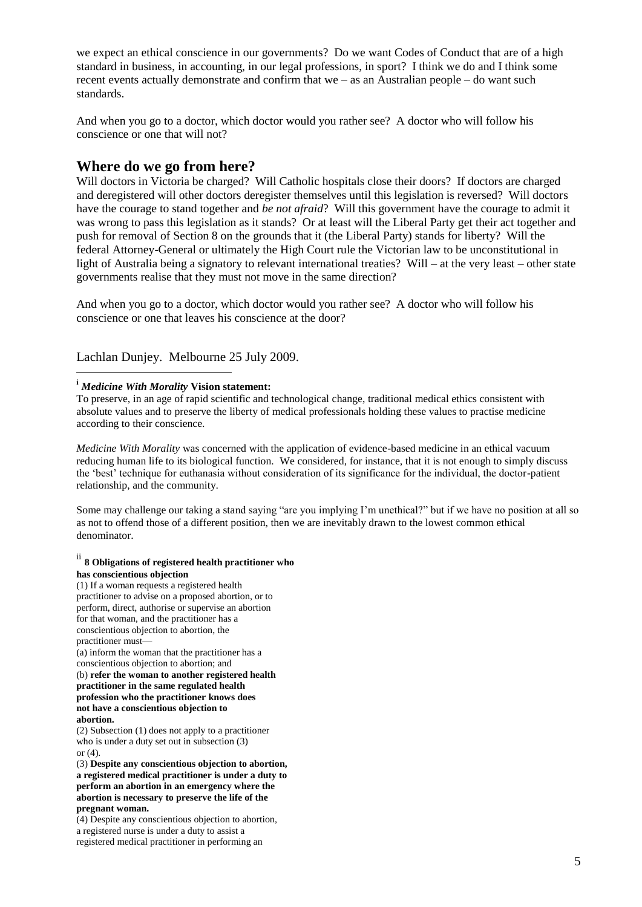we expect an ethical conscience in our governments? Do we want Codes of Conduct that are of a high standard in business, in accounting, in our legal professions, in sport? I think we do and I think some recent events actually demonstrate and confirm that we – as an Australian people – do want such standards.

And when you go to a doctor, which doctor would you rather see? A doctor who will follow his conscience or one that will not?

## **Where do we go from here?**

Will doctors in Victoria be charged? Will Catholic hospitals close their doors? If doctors are charged and deregistered will other doctors deregister themselves until this legislation is reversed? Will doctors have the courage to stand together and *be not afraid*? Will this government have the courage to admit it was wrong to pass this legislation as it stands? Or at least will the Liberal Party get their act together and push for removal of Section 8 on the grounds that it (the Liberal Party) stands for liberty? Will the federal Attorney-General or ultimately the High Court rule the Victorian law to be unconstitutional in light of Australia being a signatory to relevant international treaties? Will – at the very least – other state governments realise that they must not move in the same direction?

And when you go to a doctor, which doctor would you rather see? A doctor who will follow his conscience or one that leaves his conscience at the door?

Lachlan Dunjey. Melbourne 25 July 2009.

#### **<sup>i</sup>** *Medicine With Morality* **Vision statement:**

 $\overline{a}$ 

To preserve, in an age of rapid scientific and technological change, traditional medical ethics consistent with absolute values and to preserve the liberty of medical professionals holding these values to practise medicine according to their conscience.

*Medicine With Morality* was concerned with the application of evidence-based medicine in an ethical vacuum reducing human life to its biological function. We considered, for instance, that it is not enough to simply discuss the 'best' technique for euthanasia without consideration of its significance for the individual, the doctor-patient relationship, and the community.

Some may challenge our taking a stand saying "are you implying I'm unethical?" but if we have no position at all so as not to offend those of a different position, then we are inevitably drawn to the lowest common ethical denominator.

#### ii **8 Obligations of registered health practitioner who has conscientious objection**

(1) If a woman requests a registered health practitioner to advise on a proposed abortion, or to perform, direct, authorise or supervise an abortion for that woman, and the practitioner has a conscientious objection to abortion, the practitioner must— (a) inform the woman that the practitioner has a conscientious objection to abortion; and

(b) **refer the woman to another registered health practitioner in the same regulated health profession who the practitioner knows does not have a conscientious objection to abortion.**

(2) Subsection (1) does not apply to a practitioner who is under a duty set out in subsection (3) or  $(4)$ .

(3) **Despite any conscientious objection to abortion, a registered medical practitioner is under a duty to perform an abortion in an emergency where the abortion is necessary to preserve the life of the pregnant woman.**

(4) Despite any conscientious objection to abortion, a registered nurse is under a duty to assist a registered medical practitioner in performing an